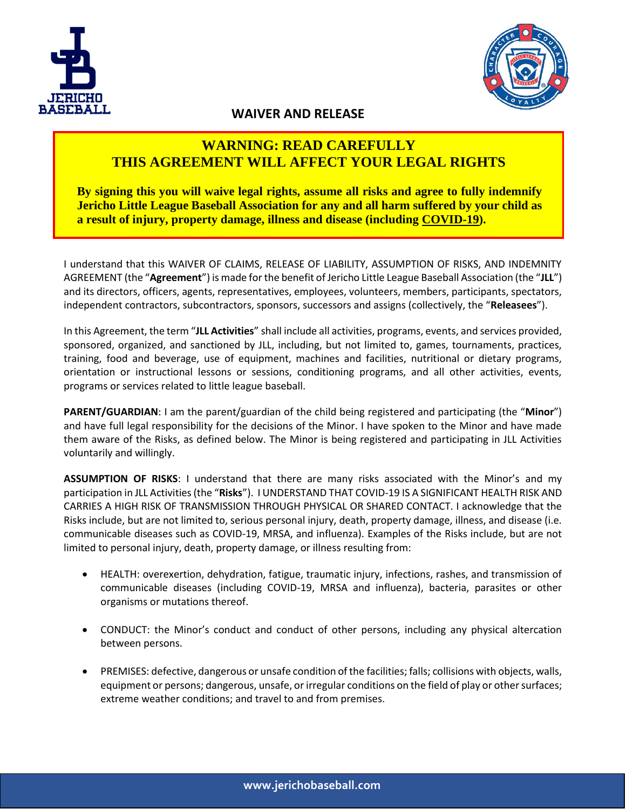



## **WAIVER AND RELEASE**

## **WARNING: READ CAREFULLY THIS AGREEMENT WILL AFFECT YOUR LEGAL RIGHTS**

**By signing this you will waive legal rights, assume all risks and agree to fully indemnify Jericho Little League Baseball Association for any and all harm suffered by your child as a result of injury, property damage, illness and disease (including COVID-19).**

I understand that this WAIVER OF CLAIMS, RELEASE OF LIABILITY, ASSUMPTION OF RISKS, AND INDEMNITY AGREEMENT (the "**Agreement**") is made for the benefit of Jericho Little League Baseball Association (the "**JLL**") and its directors, officers, agents, representatives, employees, volunteers, members, participants, spectators, independent contractors, subcontractors, sponsors, successors and assigns (collectively, the "**Releasees**").

In this Agreement, the term "**JLL Activities**" shall include all activities, programs, events, and services provided, sponsored, organized, and sanctioned by JLL, including, but not limited to, games, tournaments, practices, training, food and beverage, use of equipment, machines and facilities, nutritional or dietary programs, orientation or instructional lessons or sessions, conditioning programs, and all other activities, events, programs or services related to little league baseball.

**PARENT/GUARDIAN**: I am the parent/guardian of the child being registered and participating (the "**Minor**") and have full legal responsibility for the decisions of the Minor. I have spoken to the Minor and have made them aware of the Risks, as defined below. The Minor is being registered and participating in JLL Activities voluntarily and willingly.

**ASSUMPTION OF RISKS**: I understand that there are many risks associated with the Minor's and my participation in JLL Activities (the "**Risks**"). I UNDERSTAND THAT COVID-19 IS A SIGNIFICANT HEALTH RISK AND CARRIES A HIGH RISK OF TRANSMISSION THROUGH PHYSICAL OR SHARED CONTACT. I acknowledge that the Risks include, but are not limited to, serious personal injury, death, property damage, illness, and disease (i.e. communicable diseases such as COVID-19, MRSA, and influenza). Examples of the Risks include, but are not limited to personal injury, death, property damage, or illness resulting from:

- HEALTH: overexertion, dehydration, fatigue, traumatic injury, infections, rashes, and transmission of communicable diseases (including COVID-19, MRSA and influenza), bacteria, parasites or other organisms or mutations thereof.
- CONDUCT: the Minor's conduct and conduct of other persons, including any physical altercation between persons.
- PREMISES: defective, dangerous or unsafe condition of the facilities; falls; collisions with objects, walls, equipment or persons; dangerous, unsafe, or irregular conditions on the field of play or other surfaces; extreme weather conditions; and travel to and from premises.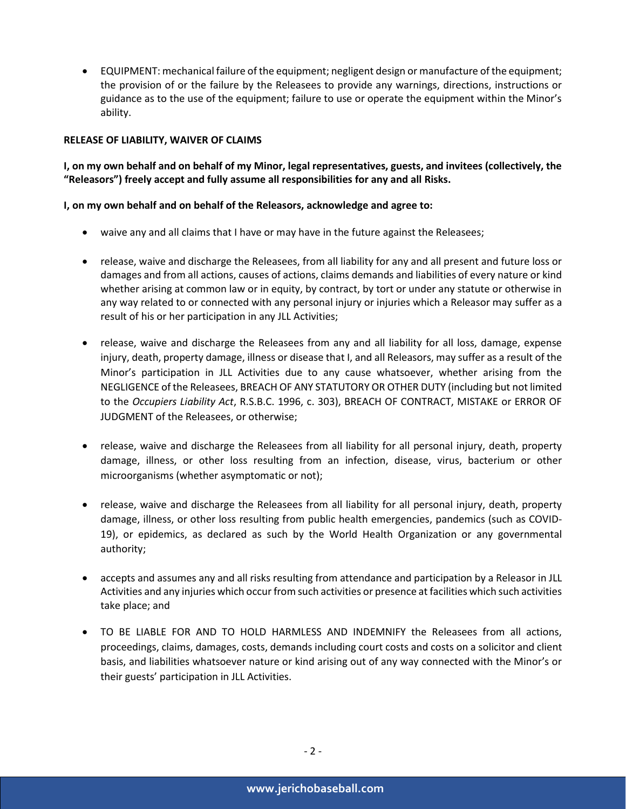• EQUIPMENT: mechanical failure of the equipment; negligent design or manufacture of the equipment; the provision of or the failure by the Releasees to provide any warnings, directions, instructions or guidance as to the use of the equipment; failure to use or operate the equipment within the Minor's ability.

## **RELEASE OF LIABILITY, WAIVER OF CLAIMS**

**I, on my own behalf and on behalf of my Minor, legal representatives, guests, and invitees (collectively, the "Releasors") freely accept and fully assume all responsibilities for any and all Risks.** 

## **I, on my own behalf and on behalf of the Releasors, acknowledge and agree to:**

- waive any and all claims that I have or may have in the future against the Releasees;
- release, waive and discharge the Releasees, from all liability for any and all present and future loss or damages and from all actions, causes of actions, claims demands and liabilities of every nature or kind whether arising at common law or in equity, by contract, by tort or under any statute or otherwise in any way related to or connected with any personal injury or injuries which a Releasor may suffer as a result of his or her participation in any JLL Activities;
- release, waive and discharge the Releasees from any and all liability for all loss, damage, expense injury, death, property damage, illness or disease that I, and all Releasors, may suffer as a result of the Minor's participation in JLL Activities due to any cause whatsoever, whether arising from the NEGLIGENCE of the Releasees, BREACH OF ANY STATUTORY OR OTHER DUTY (including but not limited to the *Occupiers Liability Act*, R.S.B.C. 1996, c. 303), BREACH OF CONTRACT, MISTAKE or ERROR OF JUDGMENT of the Releasees, or otherwise;
- release, waive and discharge the Releasees from all liability for all personal injury, death, property damage, illness, or other loss resulting from an infection, disease, virus, bacterium or other microorganisms (whether asymptomatic or not);
- release, waive and discharge the Releasees from all liability for all personal injury, death, property damage, illness, or other loss resulting from public health emergencies, pandemics (such as COVID-19), or epidemics, as declared as such by the World Health Organization or any governmental authority;
- accepts and assumes any and all risks resulting from attendance and participation by a Releasor in JLL Activities and any injuries which occur from such activities or presence at facilities which such activities take place; and
- TO BE LIABLE FOR AND TO HOLD HARMLESS AND INDEMNIFY the Releasees from all actions, proceedings, claims, damages, costs, demands including court costs and costs on a solicitor and client basis, and liabilities whatsoever nature or kind arising out of any way connected with the Minor's or their guests' participation in JLL Activities.